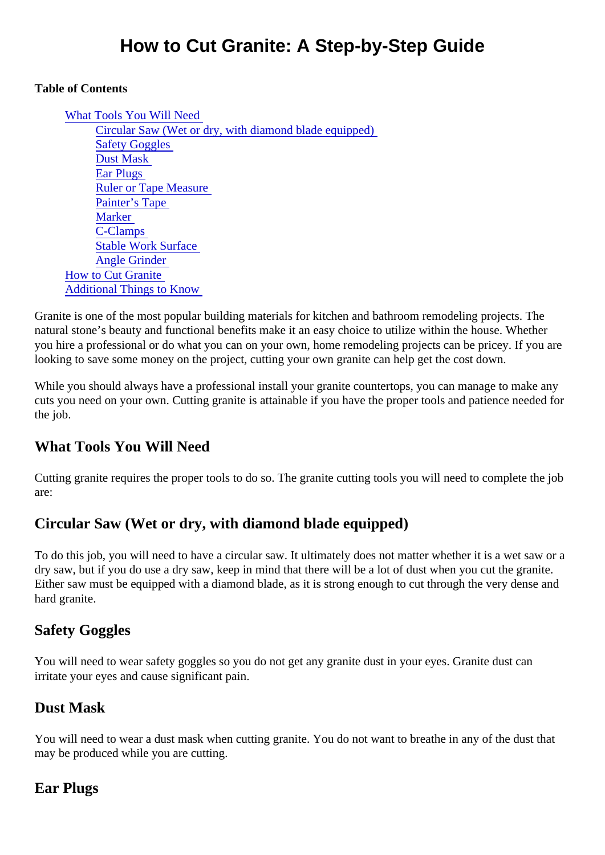#### Table of Contents

What Tools You Will Need Circular Saw (Wet or dry, with diamond blade equipped) **Safety Goggles** Dust Mask Ear Plugs Ruler or Tape Measure Painter's Tape **Marker** C-Clamps Stable Work Surface Angle Grinder How to Cut Granite [Additional Things to Know](#page-2-0)

Granite is one of the most popular building materials for kitchen and bathroom remodeling projects. The natural stone's beauty and functional benefits make it an easy choice to utilize within the house. Whether you hire a professional or do what you can on your own, home remodeling projects can be pricey. If you a looking to save some money on the project, cutting your own granite can help get the cost down.

While you should always have a professional install your granite countertops, you can manage to make are cuts you need on your own. Cutting granite is attainable if you have the proper tools and patience needed the job.

### What Tools You Will Need

Cutting granite requires the proper tools to do so. The granite cutting tools you will need to complete the jo are:

### Circular Saw (Wet or dry, with diamond blade equipped)

To do this job, you will need to have a circular saw. It ultimately does not matter whether it is a wet saw or a dry saw, but if you do use a dry saw, keep in mind that there will be a lot of dust when you cut the granite. Either saw must be equipped with a diamond blade, as it is strong enough to cut through the very dense and hard granite.

### Safety Goggles

You will need to wear safety goggles so you do not get any granite dust in your eyes. Granite dust can irritate your eyes and cause significant pain.

#### Dust Mask

You will need to wear a dust mask when cutting granite. You do not want to breathe in any of the dust that may be produced while you are cutting.

### Ear Plugs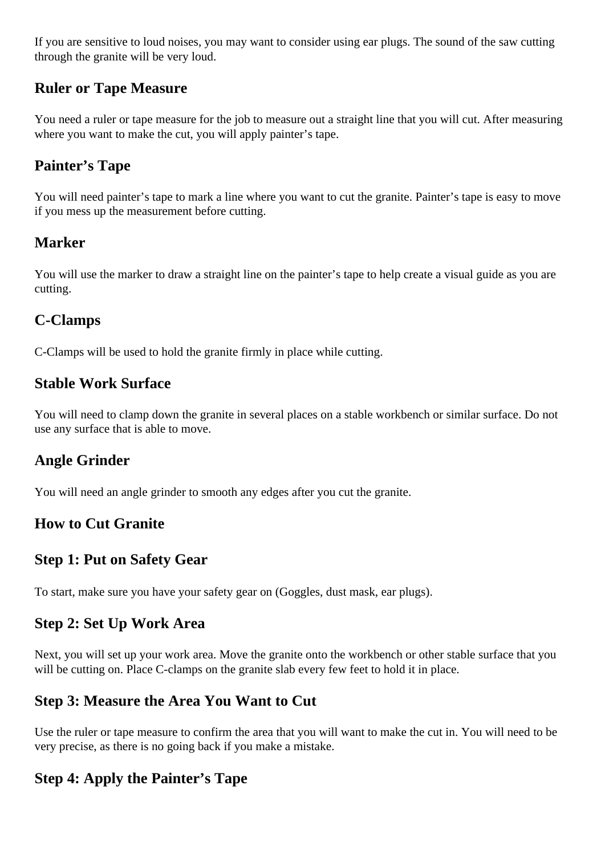If you are sensitive to loud noises, you may want to consider using ear plugs. The sound of the saw cutting through the granite will be very loud.

### **Ruler or Tape Measure**

You need a ruler or tape measure for the job to measure out a straight line that you will cut. After measuring where you want to make the cut, you will apply painter's tape.

### **Painter's Tape**

You will need painter's tape to mark a line where you want to cut the granite. Painter's tape is easy to move if you mess up the measurement before cutting.

### **Marker**

You will use the marker to draw a straight line on the painter's tape to help create a visual guide as you are cutting.

### **C-Clamps**

C-Clamps will be used to hold the granite firmly in place while cutting.

### **Stable Work Surface**

You will need to clamp down the granite in several places on a stable workbench or similar surface. Do not use any surface that is able to move.

### **Angle Grinder**

You will need an angle grinder to smooth any edges after you cut the granite.

### **How to Cut Granite**

### **Step 1: Put on Safety Gear**

To start, make sure you have your safety gear on (Goggles, dust mask, ear plugs).

### **Step 2: Set Up Work Area**

Next, you will set up your work area. Move the granite onto the workbench or other stable surface that you will be cutting on. Place C-clamps on the granite slab every few feet to hold it in place.

### **Step 3: Measure the Area You Want to Cut**

Use the ruler or tape measure to confirm the area that you will want to make the cut in. You will need to be very precise, as there is no going back if you make a mistake.

# **Step 4: Apply the Painter's Tape**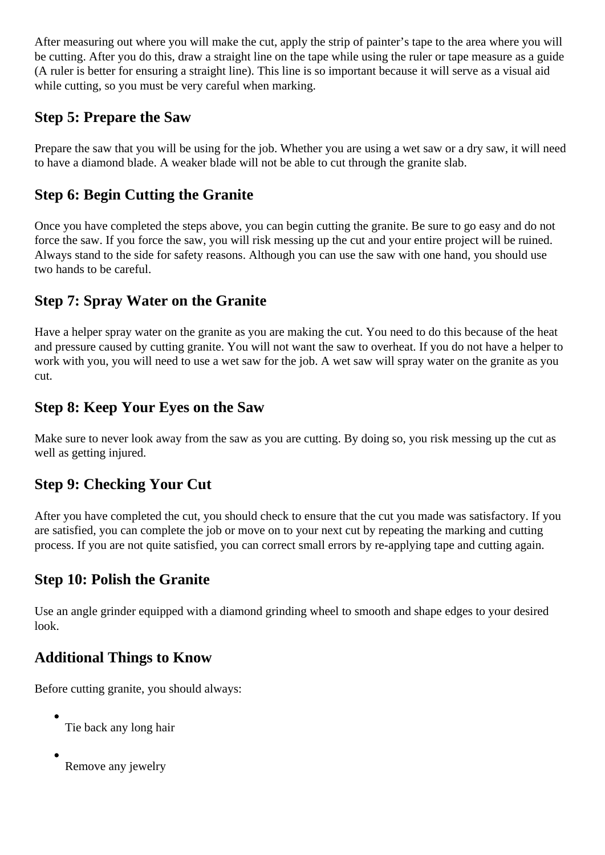<span id="page-2-0"></span>After measuring out where you will make the cut, apply the strip of painter's tape to the area where you will be cutting. After you do this, draw a straight line on the tape while using the ruler or tape measure as a guide (A ruler is better for ensuring a straight line). This line is so important because it will serve as a visual aid while cutting, so you must be very careful when marking.

### **Step 5: Prepare the Saw**

Prepare the saw that you will be using for the job. Whether you are using a wet saw or a dry saw, it will need to have a diamond blade. A weaker blade will not be able to cut through the granite slab.

## **Step 6: Begin Cutting the Granite**

Once you have completed the steps above, you can begin cutting the granite. Be sure to go easy and do not force the saw. If you force the saw, you will risk messing up the cut and your entire project will be ruined. Always stand to the side for safety reasons. Although you can use the saw with one hand, you should use two hands to be careful.

## **Step 7: Spray Water on the Granite**

Have a helper spray water on the granite as you are making the cut. You need to do this because of the heat and pressure caused by cutting granite. You will not want the saw to overheat. If you do not have a helper to work with you, you will need to use a wet saw for the job. A wet saw will spray water on the granite as you cut.

### **Step 8: Keep Your Eyes on the Saw**

Make sure to never look away from the saw as you are cutting. By doing so, you risk messing up the cut as well as getting injured.

### **Step 9: Checking Your Cut**

After you have completed the cut, you should check to ensure that the cut you made was satisfactory. If you are satisfied, you can complete the job or move on to your next cut by repeating the marking and cutting process. If you are not quite satisfied, you can correct small errors by re-applying tape and cutting again.

### **Step 10: Polish the Granite**

Use an angle grinder equipped with a diamond grinding wheel to smooth and shape edges to your desired look.

# **Additional Things to Know**

Before cutting granite, you should always:

- Tie back any long hair
- 

Remove any jewelry